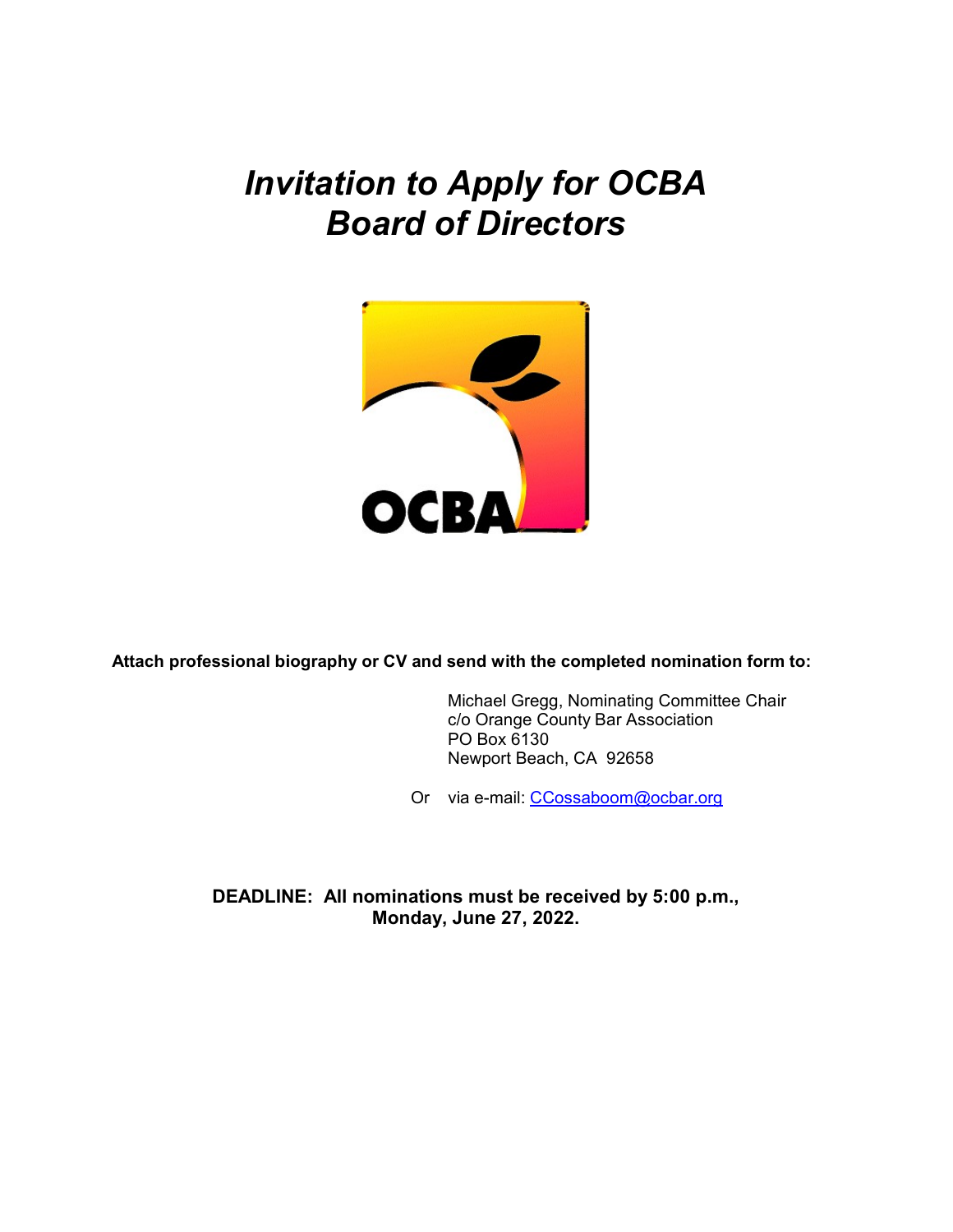## Invitation to Apply for OCBA Board of Directors



Attach professional biography or CV and send with the completed nomination form to:

 Michael Gregg, Nominating Committee Chair c/o Orange County Bar Association PO Box 6130 Newport Beach, CA 92658

Or via e-mail: CCossaboom@ocbar.org

DEADLINE: All nominations must be received by 5:00 p.m., Monday, June 27, 2022.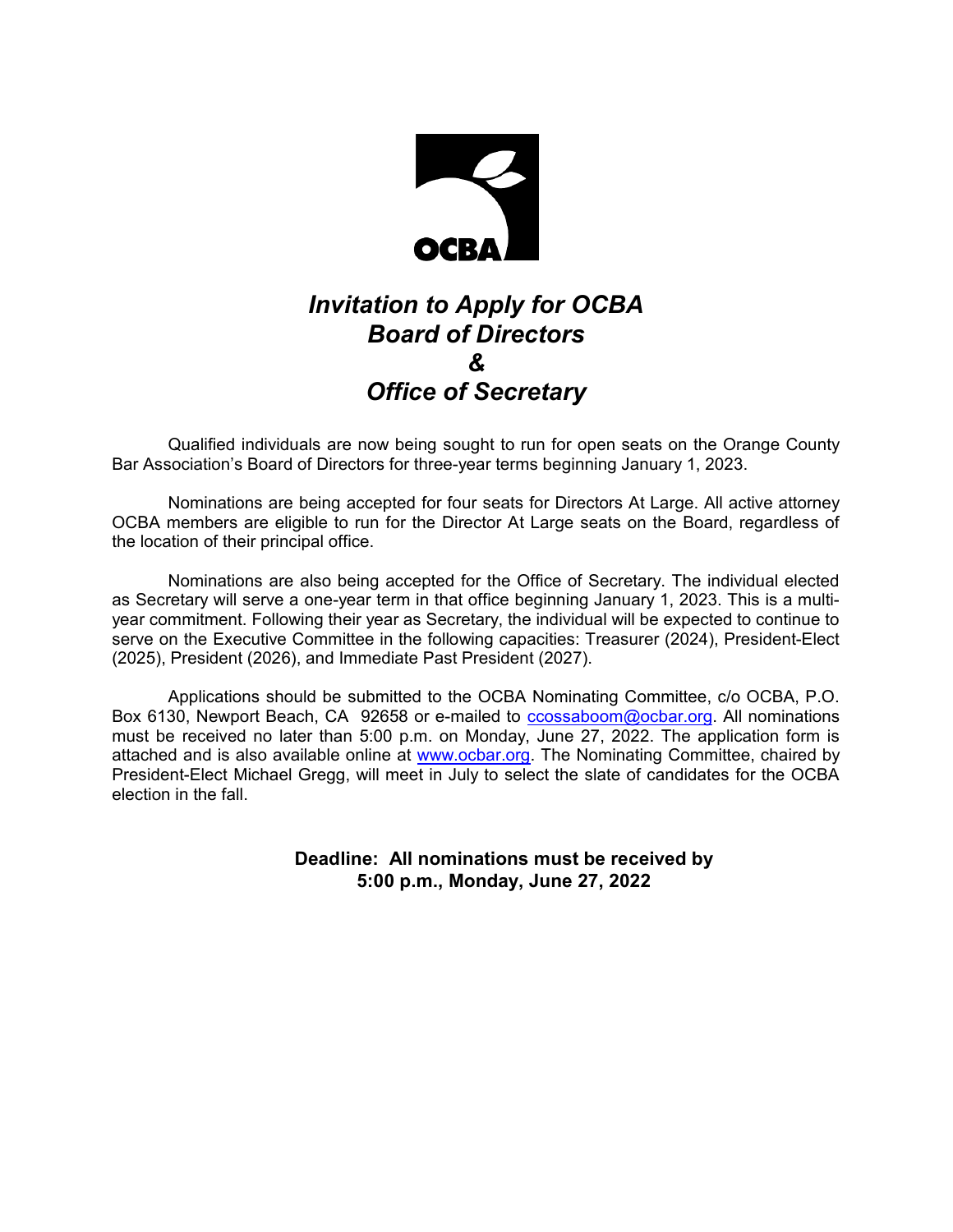

## Invitation to Apply for OCBA Board of Directors & Office of Secretary

Qualified individuals are now being sought to run for open seats on the Orange County Bar Association's Board of Directors for three-year terms beginning January 1, 2023.

Nominations are being accepted for four seats for Directors At Large. All active attorney OCBA members are eligible to run for the Director At Large seats on the Board, regardless of the location of their principal office.

Nominations are also being accepted for the Office of Secretary. The individual elected as Secretary will serve a one-year term in that office beginning January 1, 2023. This is a multiyear commitment. Following their year as Secretary, the individual will be expected to continue to serve on the Executive Committee in the following capacities: Treasurer (2024), President-Elect (2025), President (2026), and Immediate Past President (2027).

Applications should be submitted to the OCBA Nominating Committee, c/o OCBA, P.O. Box 6130, Newport Beach, CA 92658 or e-mailed to ccossaboom@ocbar.org. All nominations must be received no later than 5:00 p.m. on Monday, June 27, 2022. The application form is attached and is also available online at www.ocbar.org. The Nominating Committee, chaired by President-Elect Michael Gregg, will meet in July to select the slate of candidates for the OCBA election in the fall.

> Deadline: All nominations must be received by 5:00 p.m., Monday, June 27, 2022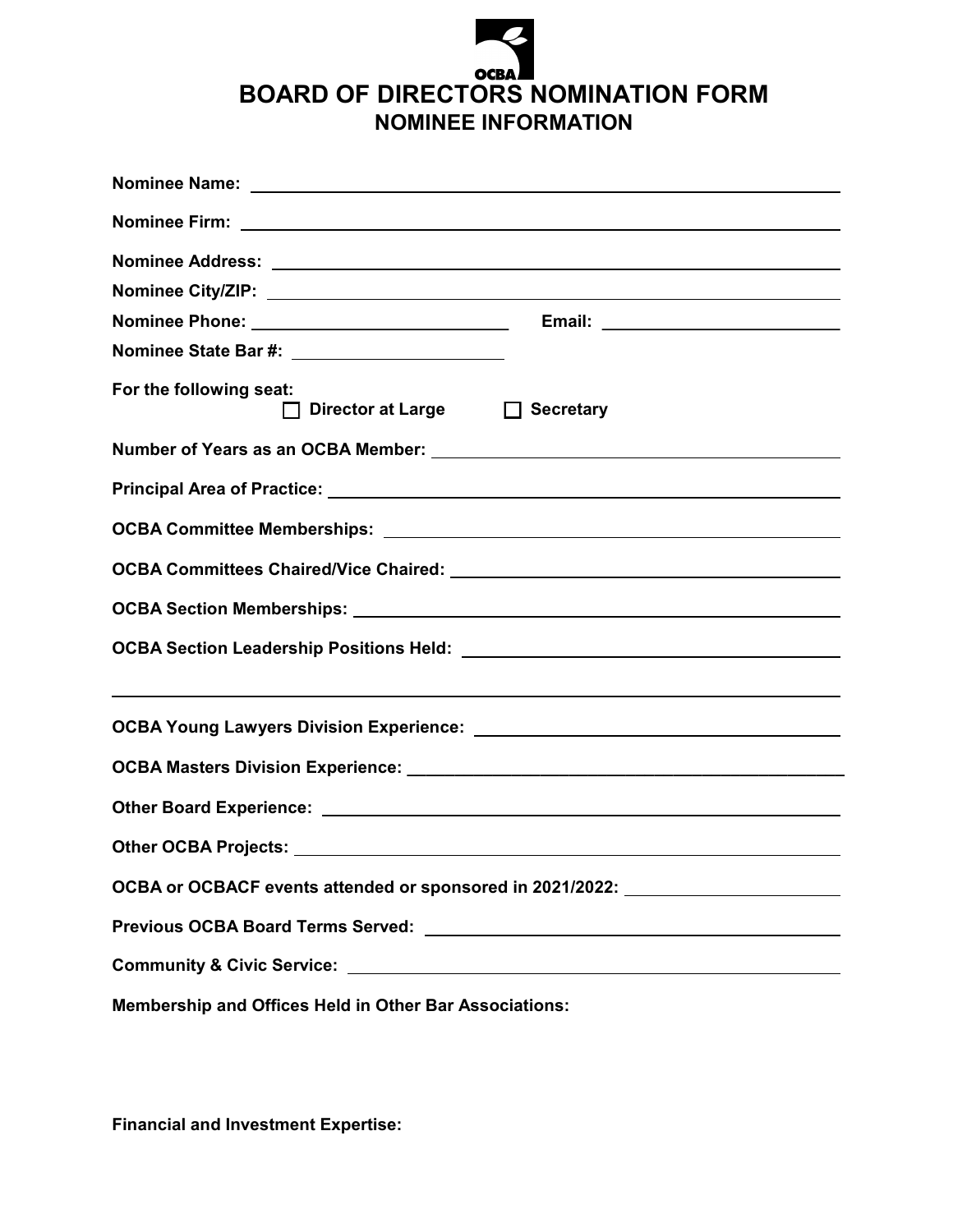## **OCBA** BOARD OF DIRECTORS NOMINATION FORM NOMINEE INFORMATION

| For the following seat:<br>□ Director at Large □ Secretary                       |
|----------------------------------------------------------------------------------|
| Number of Years as an OCBA Member: Number of Years as an OCBA Member:            |
|                                                                                  |
|                                                                                  |
|                                                                                  |
|                                                                                  |
|                                                                                  |
|                                                                                  |
|                                                                                  |
|                                                                                  |
|                                                                                  |
| OCBA or OCBACF events attended or sponsored in 2021/2022: ______________________ |
|                                                                                  |
|                                                                                  |
| Membership and Offices Held in Other Bar Associations:                           |

Financial and Investment Expertise: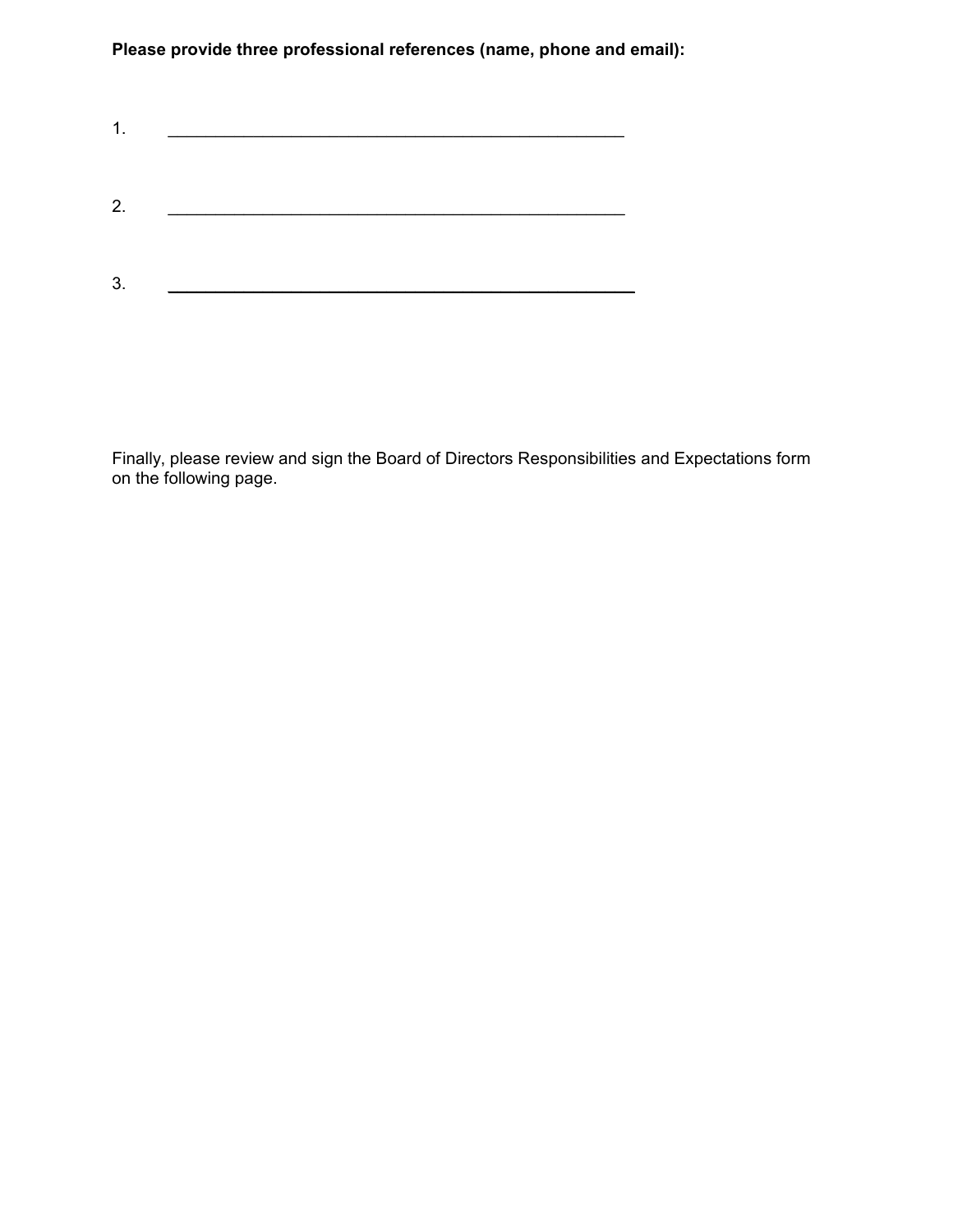Please provide three professional references (name, phone and email):

Finally, please review and sign the Board of Directors Responsibilities and Expectations form on the following page.